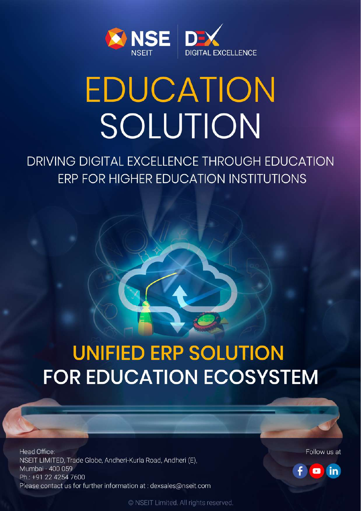

# EDUCATION SOLUTION

DRIVING DIGITAL EXCELLENCE THROUGH EDUCATION **ERP FOR HIGHER EDUCATION INSTITUTIONS** 

## **UNIFIED ERP SOLUTION FOR EDUCATION ECOSYSTEM**

Head Office: NSEIT LIMITED, Trade Globe, Andheri-Kurla Road, Andheri (E), Mumbai - 400 059 Ph.: +91 22 4254 7600 Please contact us for further information at : dexsales@nseit.com Follow us at



© NSEIT Limited. All rights reserved.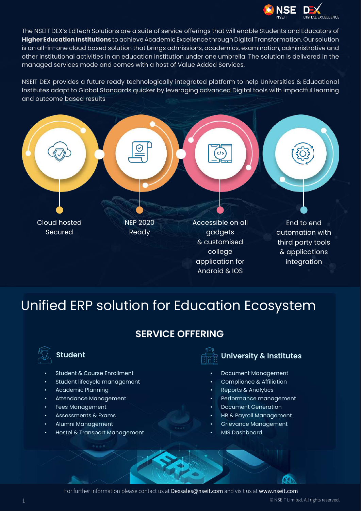

The NSEIT DEX's EdTech Solutions are a suite of service offerings that will enable Students and Educators of **Higher Education Institutions** to achieve Academic Excellence through Digital Transformation. Our solution is an all-in-one cloud based solution that brings admissions, academics, examination, administrative and other institutional activities in an education institution under one umbrella. The solution is delivered in the managed services mode and comes with a host of Value Added Services.

NSEIT DEX provides a future ready technologically integrated platform to help Universities & Educational Institutes adapt to Global Standards quicker by leveraging advanced Digital tools with impactful learning and outcome based results



### Unified ERP solution for Education Ecosystem

#### **SERVICE OFFERING**



- Student & Course Enrollment
- Student lifecycle management
- Academic Planning
- Attendance Management
- Fees Management
- Assessments & Exams
- Alumni Management
- Hostel & Transport Management



#### **Student University & Institutes**

- Document Management
- Compliance & Affiliation
- Reports & Analytics
- Performance management
- Document Generation
- HR & Payroll Management
- Grievance Management
- MIS Dashboard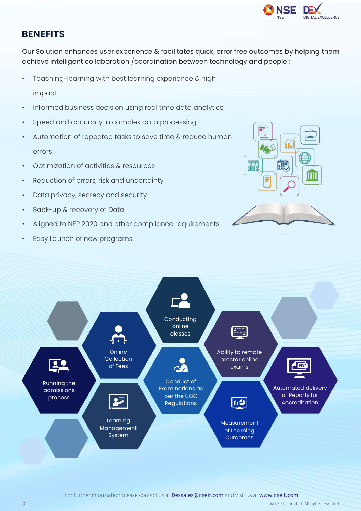

#### **BENEFITS**

Our Solution enhances user experience & facilitates quick, error free outcomes by helping them achieve intelligent collaboration /coordination between technology and people :

- Teaching-learning with best learning experience & high
	- impact
- Informed business decision using real time data analytics
- Speed and accuracy in complex data processing
- Automation of repeated tasks to save time & reduce human errors
- Optimization of activities & resources
- Reduction of errors, risk and uncertainty
- Data privacy, secrecy and security
- Back-up & recovery of Data
- Aligned to NEP 2020 and other compliance requirements
- Easy Launch of new programs



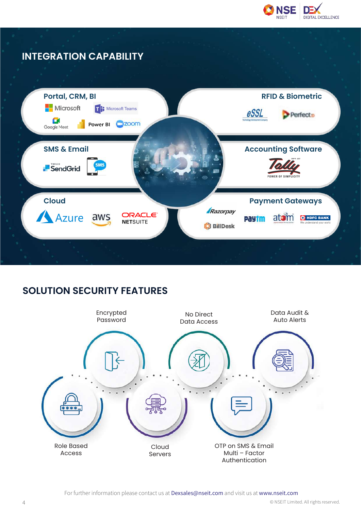

#### **INTEGRATION CAPABILITY**



#### **SOLUTION SECURITY FEATURES**

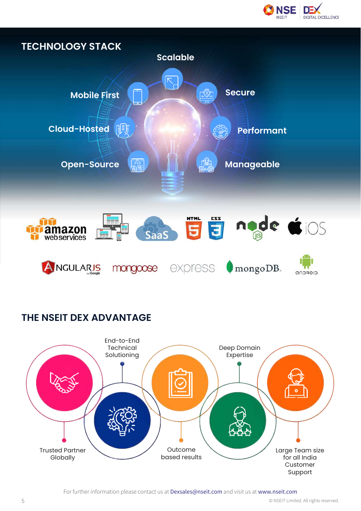



#### **THE NSEIT DEX ADVANTAGE**